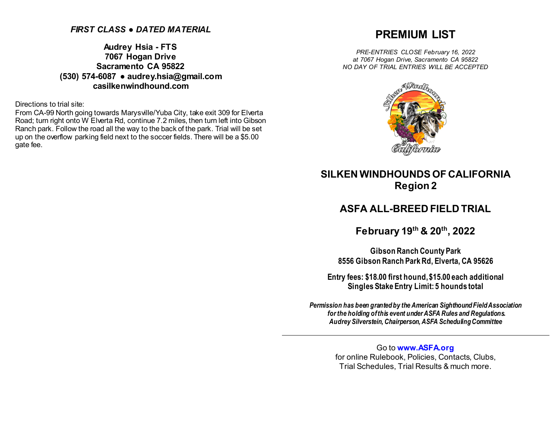# *FIRST CLASS ● DATED MATERIAL*

**Audrey Hsia - FTS 7067 Hogan Drive Sacramento CA 95822 (530) 574-6087 ● audrey.hsia@gmail.com casilkenwindhound.com**

Directions to trial site:

From CA-99 North going towards Marysville/Yuba City, take exit 309 for Elverta Road; turn right onto W Elverta Rd, continue 7.2 miles, then turn left into Gibson Ranch park. Follow the road all the way to the back of the park. Trial will be set up on the overflow parking field next to the soccer fields. There will be a \$5.00 gate fee.

# **PREMIUM LIST**

*PRE-ENTRIES CLOSE February 16, 2022 at 7067 Hogan Drive, Sacramento CA 95822 NO DAY OF TRIAL ENTRIES WILL BE ACCEPTED*



# **SILKEN WINDHOUNDS OF CALIFORNIA Region 2**

# **ASFA ALL-BREED FIELD TRIAL**

**February 19th & 20th, 2022**

**Gibson Ranch County Park 8556 Gibson Ranch Park Rd, Elverta, CA 95626**

**Entry fees: \$18.00 first hound, \$15.00 each additional Singles Stake Entry Limit: 5 hounds total**

*Permission has been granted by the American Sighthound Field Association for the holding of this event under ASFA Rules and Regulations. Audrey Silverstein, Chairperson, ASFA Scheduling Committee*

> Go to **[www.ASFA.org](http://www.asfa.org/)** for online Rulebook, Policies, Contacts, Clubs, Trial Schedules, Trial Results & much more.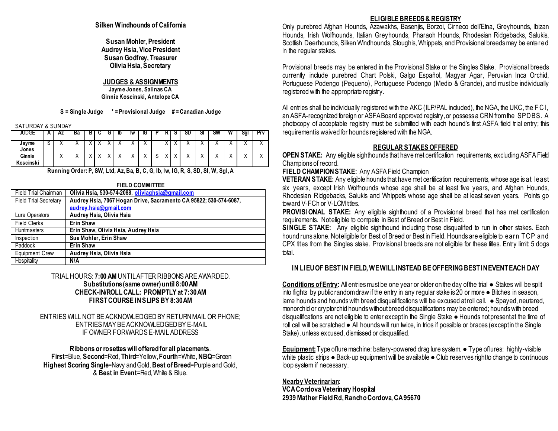## **Silken Windhounds of California**

**Susan Mohler, President Audrey Hsia, Vice President Susan Godfrey, Treasurer Olivia Hsia, Secretary**

## **JUDGES & ASSIGNMENTS**

**Jayme Jones, Salinas CA Ginnie Koscinski, Antelope CA**

**S = Single Judge \* = Provisional Judge # = Canadian Judge**

SATURDAY & SUNDAY

| JUDGE               | $\mathbf{A}$ | ΑZ        | ва | ັ | G | ıb        | ١w        | ناا       |   | o | SD        | অ          | SW        | W         | Sgl       | <b>Prv</b> |
|---------------------|--------------|-----------|----|---|---|-----------|-----------|-----------|---|---|-----------|------------|-----------|-----------|-----------|------------|
| Jayme<br>Jones      | Ω            |           |    |   |   | ↗         |           | $\lambda$ |   |   | $\lambda$ | $\lambda$  | ↗         | $\lambda$ | $\lambda$ | ∧          |
| Ginnie<br>Koscinski |              | $\lambda$ |    |   |   | $\lambda$ | $\lambda$ | $\lambda$ | ີ |   |           | $\sqrt{ }$ | $\lambda$ | $\lambda$ | $\lambda$ | ⌒          |

**Running Order: P, SW, Ltd, Az, Ba, B, C, G, Ib, Iw, IG, R, S, SD, Sl, W, Sgl, A**

| <b>FIELD COMMITTEE</b>       |                                                                   |  |  |  |  |  |
|------------------------------|-------------------------------------------------------------------|--|--|--|--|--|
| <b>Field Trial Chairman</b>  | Olivia Hsia, 530-574-2088, oliviaghsia@gmail.com                  |  |  |  |  |  |
| <b>Field Trial Secretary</b> | Audrey Hsia, 7067 Hogan Drive, Sacramento CA 95822; 530-574-6087, |  |  |  |  |  |
|                              | audrey.hsia@gmail.com                                             |  |  |  |  |  |
| Lure Operators               | Audrey Hsia, Olivia Hsia                                          |  |  |  |  |  |
| <b>Field Clerks</b>          | <b>Erin Shaw</b>                                                  |  |  |  |  |  |
| <b>Huntmasters</b>           | Erin Shaw, Olivia Hsia, Audrey Hsia                               |  |  |  |  |  |
| Inspection                   | Sue Mohler, Erin Shaw                                             |  |  |  |  |  |
| Paddock                      | <b>Erin Shaw</b>                                                  |  |  |  |  |  |
| <b>Equipment Crew</b>        | Audrey Hsia, Olivia Hsia                                          |  |  |  |  |  |
| Hospitality                  | N/A                                                               |  |  |  |  |  |

TRIAL HOURS: **7:00 AM**UNTIL AFTER RIBBONS ARE AWARDED. **Substitutions (same owner) until 8:00 AM CHECK-IN/ROLL CALL: PROMPTLY at 7:30 AM FIRST COURSE IN SLIPS BY 8:30 AM**

ENTRIES WILL NOT BE ACKNOWLEDGED BY RETURN MAIL OR PHONE; ENTRIES MAY BE ACKNOWLEDGED BY E-MAIL IF OWNER FORWARDS E-MAIL ADDRESS

### **Ribbons or rosettes will offered for all placements**. **First**=Blue, **Second**=Red, **Third**=Yellow, **Fourth**=White, **NBQ**=Green **Highest Scoring Single**=Navy and Gold, **Best of Breed**=Purple and Gold, & **Best in Event**=Red, White & Blue.

## **ELIGIBLE BREEDS & REGISTRY**

Only purebred Afghan Hounds, Azawakhs, Basenjis, Borzoi, Cirneco dell'Etna, Greyhounds, Ibizan Hounds, Irish Wolfhounds, Italian Greyhounds, Pharaoh Hounds, Rhodesian Ridgebacks, Salukis, Scottish Deerhounds, Silken Windhounds, Sloughis, Whippets, and Provisional breeds may be entered in the regular stakes.

Provisional breeds may be entered in the Provisional Stake or the Singles Stake. Provisional breeds currently include purebred Chart Polski, Galgo Español, Magyar Agar, Peruvian Inca Orchid, Portuguese Podengo (Pequeno), Portuguese Podengo (Medio & Grande), and must be individually registered with the appropriate registry.

All entries shall be individually registered with the AKC (ILP/PAL included), the NGA, the UKC, the FCI, an ASFA-recognized foreign or ASFA Board approved registry, or possess a CRN from the SPDBS. A photocopy of acceptable registry must be submitted with each hound's first ASFA field trial entry; this requirementis waived for hounds registered with the NGA.

# **REGULAR STAKES OFFERED**

**OPEN STAKE:** Any eligible sighthounds that have met certification requirements, excluding ASFA Field Champions of record.

**FIELD CHAMPION STAKE:** Any ASFA Field Champion

**VETERAN STAKE:** Any eligible hounds that have met certification requirements, whose age is at least six years, except Irish Wolfhounds whose age shall be at least five years, and Afghan Hounds, Rhodesian Ridgebacks, Salukis and Whippets whose age shall be at least seven years. Points go toward V-FCh or V-LCM titles.

**PROVISIONAL STAKE:** Any eligible sighthound of a Provisional breed that has met certification requirements. Not eligible to compete in Best of Breed or Best in Field.

**SINGLE STAKE:** Any eligible sighthound including those disqualified to run in other stakes. Each hound runs alone. Not eligible for Best of Breed or Best in Field. Hounds are eligible to earn T CP and CPX titles from the Singles stake. Provisional breeds are not eligible for these titles. Entry limit: 5 dogs total.

# **IN LIEU OF BEST IN FIELD, WE WILL INSTEAD BE OFFERING BEST IN EVENT EACH DAY**

**Conditions of Entry:** All entries must be one year or older on the day of the trial ● Stakes will be split into flights by public random draw if the entry in any regular stake is 20 or more ● Bitches in season, lame hounds and hounds with breed disqualifications will be excused at roll call.  $\bullet$  Spayed, neutered, monorchid or cryptorchid hounds without breed disqualifications may be entered; hounds with breed disqualifications are not eligible to enter except in the Single Stake ● Hounds not present at the time of roll call will be scratched ● All hounds will run twice, in trios if possible or braces (except in the Single Stake), unless excused, dismissed or disqualified.

**Equipment:** Type of lure machine: battery-powered drag lure system. ● Type of lures: highly-visible white plastic strips ● Back-up equipment will be available ● Club reserves right to change to continuous loop system if necessary.

# **Nearby Veterinarian**:

**VCA Cordova Veterinary Hospital 2939 Mather Field Rd, Rancho Cordova, CA 95670**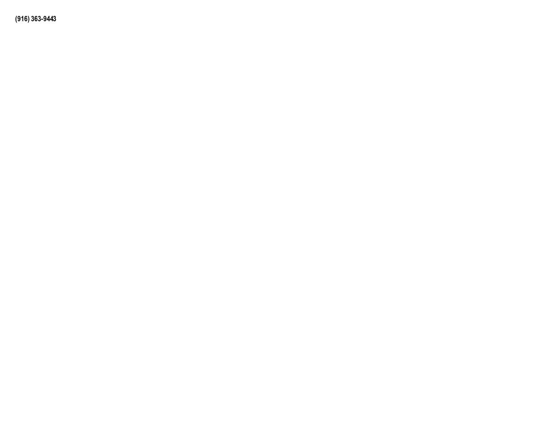**(916) 363-9443**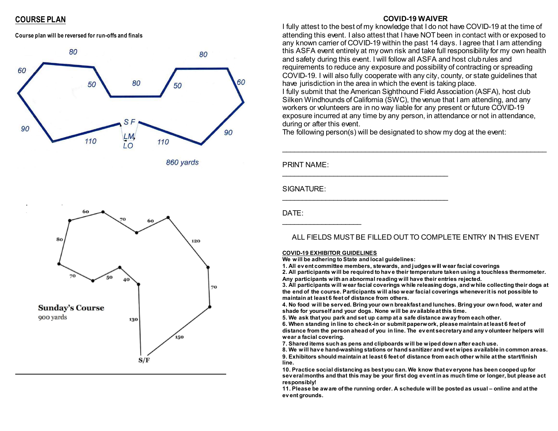# **COURSE PLAN**

**Course plan will be reversed for run-offs and finals**



860 vards



### **COVID-19 WAIVER**

I fully attest to the best of my knowledge that I do not have COVID-19 at the time of attending this event. I also attest that I have NOT been in contact with or exposed to any known carrier of COVID-19 within the past 14 days. I agree that I am attending this ASFA event entirely at my own risk and take full responsibility for my own health and safety during this event. I will follow all ASFA and host club rules and requirements to reduce any exposure and possibility of contracting or spreading COVID-19. I will also fully cooperate with any city, county, or state guidelines that have jurisdiction in the area in which the event is taking place. I fully submit that the American Sighthound Field Association (ASFA), host club Silken Windhounds of California (SWC), the venue that I am attending, and any workers or volunteers are in no way liable for any present or future COVID-19 exposure incurred at any time by any person, in attendance or not in attendance, during or after this event.

\_\_\_\_\_\_\_\_\_\_\_\_\_\_\_\_\_\_\_\_\_\_\_\_\_\_\_\_\_\_\_\_\_\_\_\_\_\_\_\_\_\_\_\_\_\_\_\_\_\_\_\_\_\_\_\_\_\_\_\_\_\_\_\_\_\_\_

The following person(s) will be designated to show my dog at the event:

PRINT NAME:

SIGNATURE:

DATE:

# ALL FIELDS MUST BE FILLED OUT TO COMPLETE ENTRY IN THIS EVENT

### **COVID-19 EXHIBITOR GUIDELINES**

 $\overline{\phantom{a}}$  , where  $\overline{\phantom{a}}$ 

**We will be adhering to State and local guidelines:**

\_\_\_\_\_\_\_\_\_\_\_\_\_\_\_\_\_\_\_\_\_\_\_\_\_\_\_\_\_\_\_\_\_\_\_\_\_\_\_\_\_\_

\_\_\_\_\_\_\_\_\_\_\_\_\_\_\_\_\_\_\_\_\_\_\_\_\_\_\_\_\_\_\_\_\_\_\_\_\_\_\_\_\_\_

**1. All ev ent committee members, stewards, and judges will wear facial coverings**

**2. All participants will be required to hav e their temperature taken using a touchless thermometer. Any participants with an abnormal reading will have their entries rejected.**

**3. All participants will wear facial coverings while releasing dogs, and while collecting their dogs at the end of the course. Participants will also wear facial coverings whenever it is not possible to maintain at least 6 feet of distance from others.**

**4. No food will be serv ed. Bring your own breakfast and lunches. Bring your own food, water and shade for yourself and your dogs. None will be av ailable at this time.**

**5. We ask that you park and set up camp at a safe distance away from each other.**

**6. When standing in line to check-in or submit paperwork, please maintain at least 6 feet of distance from the person ahead of you in line. The ev ent secretary and any v olunteer helpers will wear a facial covering.**

**7. Shared items such as pens and clipboards will be wiped down after each use.**

**8. We will hav e hand-washing stations or hand sanitizer and wet wipes available in common areas. 9. Exhibitors should maintain at least 6 feet of distance from each other while at the start/finish line.** 

**10. Practice social distancing as best you can. We know that ev eryone has been cooped up for sev eral months and that this may be your first dog ev ent in as much time or longer, but please act responsibly!**

**11. Please be aware of the running order. A schedule will be posted as usual – online and at the ev ent grounds.**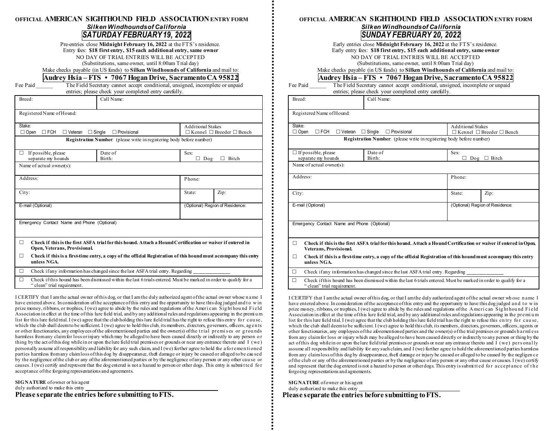## **OFFICIAL AMERICAN SIGHTHOUND FIELD ASSOCIATIONENTRY FORM** *Silken Windhounds of California SATURDAY FEBRUARY19, 2022*

Pre-entries close **Midnight February 16, 2022** at the FTS's residence. Entry fees: **\$18 first entry, \$15 each additional entry, same owner** NO DAY OF TRIAL ENTRIES WILL BE ACCEPTED (Substitutions, same owner, until 8:00am Trial day)

#### Make checks payable (in US funds) to **Silken Windhounds of California** and mail to: **Audrey Hsia – FTS • 7067 HoganDrive, SacramentoCA 95822**

Fee Paid The Field Secretary cannot accept conditional, unsigned, incomplete or unpaid entries; please check your completed entry carefully.

| Breed:                                                | Call Name:                                                                                                                                       |                                                                                                                  |  |  |  |  |  |
|-------------------------------------------------------|--------------------------------------------------------------------------------------------------------------------------------------------------|------------------------------------------------------------------------------------------------------------------|--|--|--|--|--|
| Registered Name of Hound:                             |                                                                                                                                                  |                                                                                                                  |  |  |  |  |  |
| Stake:<br>$\Box$ Open<br>$\Box$ FCH<br>$\Box$ Veteran | $\Box$ Single<br>$\Box$ Provisional                                                                                                              | <b>Additional Stakes</b><br>$\Box$ Kennel $\Box$ Breeder $\Box$ Bench                                            |  |  |  |  |  |
|                                                       | <b>Registration Number:</b> (please write in registering body before number)                                                                     |                                                                                                                  |  |  |  |  |  |
| If possible, please<br>$\perp$<br>separate my hounds  | Date of<br>Birth:                                                                                                                                | Sex:<br>Bitch<br>Dog<br>$\mathbf{L}$                                                                             |  |  |  |  |  |
| Name of actual owner(s):                              |                                                                                                                                                  |                                                                                                                  |  |  |  |  |  |
| Address:                                              |                                                                                                                                                  | Phone:                                                                                                           |  |  |  |  |  |
| City:                                                 |                                                                                                                                                  | State:<br>Zip:                                                                                                   |  |  |  |  |  |
| E-mail (Optional)                                     |                                                                                                                                                  | (Optional) Region of Residence:                                                                                  |  |  |  |  |  |
| Emergency Contact Name and Phone (Optional)           |                                                                                                                                                  |                                                                                                                  |  |  |  |  |  |
|                                                       |                                                                                                                                                  |                                                                                                                  |  |  |  |  |  |
| П                                                     | Check if this is the first ASFA trial for this hound. Attach a Hound Certification or waiver if entered in<br>Open, Veterans, Provisional.       |                                                                                                                  |  |  |  |  |  |
| П<br>unless NGA.                                      |                                                                                                                                                  | Check if this is a first-time entry, a copy of the official Registration of this hound must accompany this entry |  |  |  |  |  |
| $\Box$                                                | Check if any information has changed since the last ASFA trial entry. Regarding                                                                  |                                                                                                                  |  |  |  |  |  |
| П                                                     | Check if this hound has been dismissed within the last 6 trials entered. Must be marked in order to qualify for a<br>" clean" trial requirement. |                                                                                                                  |  |  |  |  |  |

I CERTIFY that I am the actual owner of this dog, or that I am the duly authorized agent of the actual owner whose n ame I have entered above. In consideration of the acceptance of this entry and the opportunity to have this dog judged and to win prize money, ribbons, or trophies, I (we) agree to abide by the rules and regulations of the Ameri can Sig ht hou nd Fi eld Association in effect at the time of this lure field trial, and by any additional rules and regulations appearing in the premi u m list for this lure field trial. I (we) agree that the club holding this lure field trial has the right to refuse this entry fo r cau se, which the club shall deem to be sufficient. I (we) agree to hold this club, its members, directors, governors, officers, ag en ts or other functionaries, any employees of the aforementioned parties and the owner(s) of the t rial premi s es or g rou nds harmless from any claim for loss or injury which may be alleged to have been caused directly or indirectly to any person o r thing by the act of this dog while in or upon the lure field trial premises or grounds or near any entrance thereto and I (we) personally assume all responsibility and liability for any such claim, and I (we) further agree to hold the afo remen ti oned parties harmless from any claim loss of this dog by disappearance, theft damage or injury be caused or alleged to be cau sed by the negligence of the club or any of the aforementioned parties or by the negligence of any person or any other cau se or causes. I (we) certify and represent that the dog entered is not a hazard to person or other dogs. This entry is submi t ted fo r acceptance of the forgoing representations and agreements.

**SIGNATURE** of owner or his agent duly authorized to make this entry

**Please separate the entries before submitting to FTS.**

### **OFFICIAL AMERICAN SIGHTHOUND FIELD ASSOCIATIONENTRY FORM** *Silken Windhounds of California SUNDAY FEBRUARY 20, 2022*

Early entries close **Midnight February 16, 2022** at the FTS's residence. Early entry fees: **\$18 first entry, \$15 each additional entry, same owner** NO DAY OF TRIAL ENTRIES WILL BE ACCEPTED (Substitutions, same owner, until 8:00am Trial day) Make checks payable (in US funds) to **Silken Windhounds of California** and mail to:

## **Audrey Hsia – FTS • 7067 HoganDrive, SacramentoCA 95822**

| Fee Paid | The Field Secretary cannot accept conditional, unsigned, incomplete or unpaid |  |  |  |  |  |  |  |
|----------|-------------------------------------------------------------------------------|--|--|--|--|--|--|--|
|          | entries; please check your completed entry carefully.                         |  |  |  |  |  |  |  |
| Breed:   | Call Name:                                                                    |  |  |  |  |  |  |  |

| Registered Name of Hound: |
|---------------------------|
|                           |

| 100 - 100 100 100 1100 1110 1110            |                                                                                                                  |                                           |      |  |  |  |  |  |
|---------------------------------------------|------------------------------------------------------------------------------------------------------------------|-------------------------------------------|------|--|--|--|--|--|
| Stake:                                      |                                                                                                                  | <b>Additional Stakes</b>                  |      |  |  |  |  |  |
| $\Box$ Open<br>$\Box$ FCH<br>$\Box$ Veteran | $\Box$ Single<br>$\Box$ Provisional                                                                              | $\Box$ Kennel $\Box$ Breeder $\Box$ Bench |      |  |  |  |  |  |
|                                             | <b>Registration Number:</b> (please write in registering body before number)                                     |                                           |      |  |  |  |  |  |
| $\Box$ If possible, please                  | Sex:                                                                                                             |                                           |      |  |  |  |  |  |
| separate my hounds                          | Birth:                                                                                                           | $\Box$ Bitch<br>$\log$                    |      |  |  |  |  |  |
| Name of actual owner(s):                    |                                                                                                                  |                                           |      |  |  |  |  |  |
| Address:                                    | Phone:                                                                                                           |                                           |      |  |  |  |  |  |
|                                             |                                                                                                                  |                                           |      |  |  |  |  |  |
| City:                                       |                                                                                                                  | State:                                    | Zip: |  |  |  |  |  |
| E-mail (Optional)                           |                                                                                                                  | (Optional) Region of Residence:           |      |  |  |  |  |  |
|                                             |                                                                                                                  |                                           |      |  |  |  |  |  |
|                                             |                                                                                                                  |                                           |      |  |  |  |  |  |
| Emergency Contact Name and Phone (Optional) |                                                                                                                  |                                           |      |  |  |  |  |  |
|                                             |                                                                                                                  |                                           |      |  |  |  |  |  |
| п                                           | Check if this is the first ASFA trial for this hound. Attach a Hound Certification or waiver if entered in Open, |                                           |      |  |  |  |  |  |
|                                             | Veterans, Provisional.                                                                                           |                                           |      |  |  |  |  |  |
| П<br>unless NGA.                            | Check if this is a first-time entry, a copy of the official Registration of this hound must accompany this entry |                                           |      |  |  |  |  |  |
| $\Box$                                      | Check if any information has changed since the last ASFA trial entry. Regarding                                  |                                           |      |  |  |  |  |  |
| П                                           | Check if this hound has been dismissed within the last 6 trials entered Must be marked in order to qualify for a |                                           |      |  |  |  |  |  |

 $\Box$  Check if this hound has been dismissed within the last 6 trials entered. Must be marked in order to qualify for a " clean" trial requirement.

I CERTIFY that I am the actual owner of this dog, or that I am the duly authorized agent of the actual owner wh ose n ame I have entered above. In consideration of the acceptance of this entry and the opportunity to have this dog judged and to win prize money, ribbons, or trophies, I (we) agree to abide by the rules and regulations of the A meri can Sig hthound Field Association in effect at the time of this lure field trial, and by any additional rules and regulations appearing in the premi u m list for this lure field trial. I (we) agree that the club holding this lure field trial has the right to refuse this entry for cause, which the club shall deem to be sufficient. I (we) agree to hold this club, its members, directors, governors, officers, agents or other functionaries, any employees of the aforementioned parties and the owner(s) of the trial premises or grounds h arml ess from any claim for loss or injury which may be alleged to have been caused directly or indirectly to any person or thing by the act of this dog while in or upon the lure field trial premises or grounds or near any entrance thereto and I (we) personally assume all responsibility and liability for any such claim, and I (we) further agree to hold the aforementioned parties harmless from any claim loss of this dog by disappearance, theft damage or injury be caused or alleged to be caused by the negligen ce of the club or any of the aforementioned parties or by the negligence of any person or any other cause or causes. I (we) certify and represent that the dog entered is not a hazard to person or other dogs. This entry is submitted for acceptance of the forgoing representations and agreements.

**SIGNATURE** of owner or his agent duly authorized to make this entry

**Please separate the entries before submitting to FTS.**